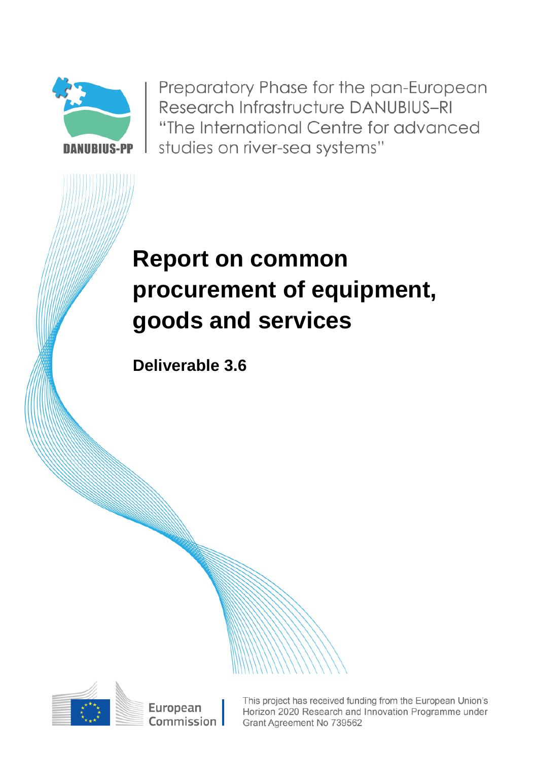

Preparatory Phase for the pan-European Research Infrastructure DANUBIUS-RI "The International Centre for advanced studies on river-sea systems"

# **Report on common procurement of equipment, goods and services**

**Deliverable 3.6**



This project has received funding from the European Union's Horizon 2020 Research and Innovation Programme under Grant Agreement No 739562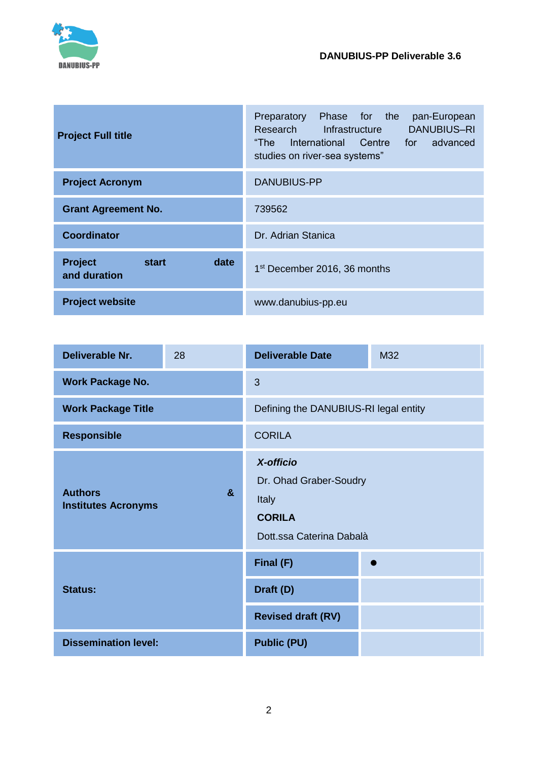

| <b>Project Full title</b>                       | Preparatory Phase for the<br>pan-European<br>Research Infrastructure<br><b>DANUBIUS-RI</b><br>"The International Centre for advanced<br>studies on river-sea systems" |  |
|-------------------------------------------------|-----------------------------------------------------------------------------------------------------------------------------------------------------------------------|--|
| <b>Project Acronym</b>                          | <b>DANUBIUS-PP</b>                                                                                                                                                    |  |
| <b>Grant Agreement No.</b>                      | 739562                                                                                                                                                                |  |
| <b>Coordinator</b>                              | Dr. Adrian Stanica                                                                                                                                                    |  |
| <b>Project</b><br>date<br>start<br>and duration | 1 <sup>st</sup> December 2016, 36 months                                                                                                                              |  |
| <b>Project website</b>                          | www.danubius-pp.eu                                                                                                                                                    |  |

| <b>Deliverable Nr.</b>                                       | 28 | <b>Deliverable Date</b>                                                                   | M32 |
|--------------------------------------------------------------|----|-------------------------------------------------------------------------------------------|-----|
| <b>Work Package No.</b>                                      |    | 3                                                                                         |     |
| <b>Work Package Title</b>                                    |    | Defining the DANUBIUS-RI legal entity                                                     |     |
| <b>Responsible</b>                                           |    | <b>CORILA</b>                                                                             |     |
| <b>Authors</b><br>$\mathbf{a}$<br><b>Institutes Acronyms</b> |    | X-officio<br>Dr. Ohad Graber-Soudry<br>Italy<br><b>CORILA</b><br>Dott.ssa Caterina Dabalà |     |
| <b>Status:</b>                                               |    | Final (F)                                                                                 |     |
|                                                              |    | Draft (D)                                                                                 |     |
|                                                              |    | <b>Revised draft (RV)</b>                                                                 |     |
| <b>Dissemination level:</b>                                  |    | <b>Public (PU)</b>                                                                        |     |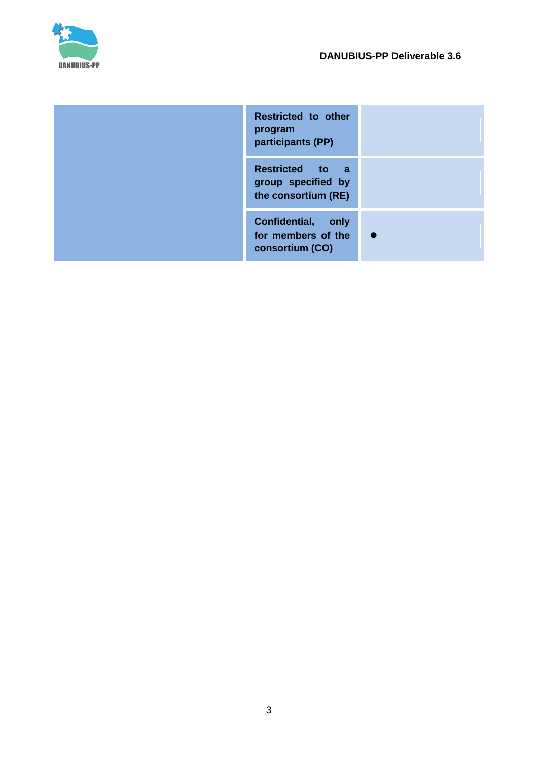

| Restricted to other<br>program<br>participants (PP)          |  |
|--------------------------------------------------------------|--|
| Restricted to a<br>group specified by<br>the consortium (RE) |  |
| Confidential, only<br>for members of the<br>consortium (CO)  |  |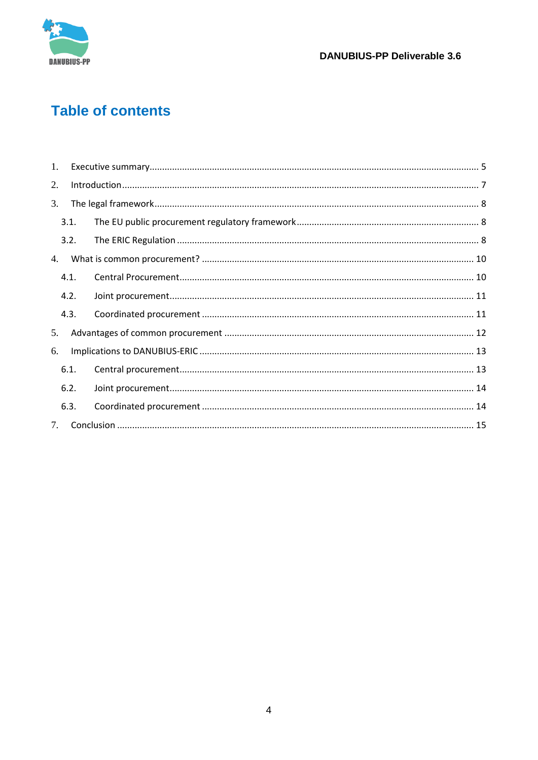

# **Table of contents**

| 1.                               |      |  |
|----------------------------------|------|--|
| 2.                               |      |  |
| 3.                               |      |  |
|                                  | 3.1. |  |
|                                  | 3.2. |  |
| 4.                               |      |  |
|                                  | 4.1. |  |
|                                  | 4.2. |  |
|                                  | 4.3. |  |
| 5.                               |      |  |
| 6.                               |      |  |
|                                  | 6.1. |  |
|                                  | 6.2. |  |
|                                  | 6.3. |  |
| $7_{\scriptscriptstyle{\ddots}}$ |      |  |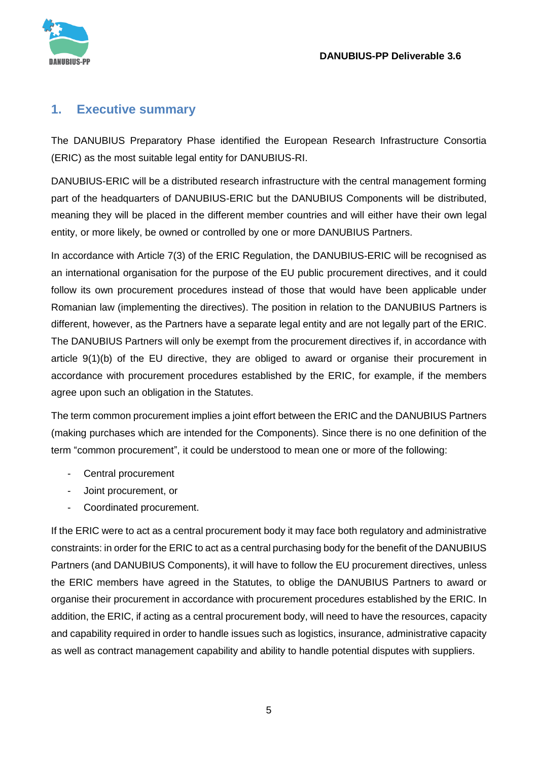

### <span id="page-4-0"></span>**1. Executive summary**

The DANUBIUS Preparatory Phase identified the European Research Infrastructure Consortia (ERIC) as the most suitable legal entity for DANUBIUS-RI.

DANUBIUS-ERIC will be a distributed research infrastructure with the central management forming part of the headquarters of DANUBIUS-ERIC but the DANUBIUS Components will be distributed, meaning they will be placed in the different member countries and will either have their own legal entity, or more likely, be owned or controlled by one or more DANUBIUS Partners.

In accordance with Article 7(3) of the ERIC Regulation, the DANUBIUS-ERIC will be recognised as an international organisation for the purpose of the EU public procurement directives, and it could follow its own procurement procedures instead of those that would have been applicable under Romanian law (implementing the directives). The position in relation to the DANUBIUS Partners is different, however, as the Partners have a separate legal entity and are not legally part of the ERIC. The DANUBIUS Partners will only be exempt from the procurement directives if, in accordance with article 9(1)(b) of the EU directive, they are obliged to award or organise their procurement in accordance with procurement procedures established by the ERIC, for example, if the members agree upon such an obligation in the Statutes.

The term common procurement implies a joint effort between the ERIC and the DANUBIUS Partners (making purchases which are intended for the Components). Since there is no one definition of the term "common procurement", it could be understood to mean one or more of the following:

- Central procurement
- Joint procurement, or
- Coordinated procurement.

If the ERIC were to act as a central procurement body it may face both regulatory and administrative constraints: in order for the ERIC to act as a central purchasing body for the benefit of the DANUBIUS Partners (and DANUBIUS Components), it will have to follow the EU procurement directives, unless the ERIC members have agreed in the Statutes, to oblige the DANUBIUS Partners to award or organise their procurement in accordance with procurement procedures established by the ERIC. In addition, the ERIC, if acting as a central procurement body, will need to have the resources, capacity and capability required in order to handle issues such as logistics, insurance, administrative capacity as well as contract management capability and ability to handle potential disputes with suppliers.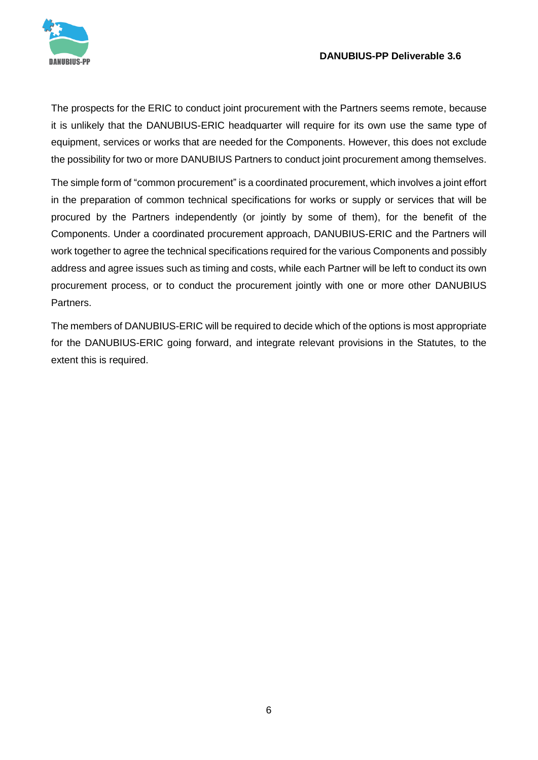

#### **DANUBIUS-PP Deliverable 3.6**

The prospects for the ERIC to conduct joint procurement with the Partners seems remote, because it is unlikely that the DANUBIUS-ERIC headquarter will require for its own use the same type of equipment, services or works that are needed for the Components. However, this does not exclude the possibility for two or more DANUBIUS Partners to conduct joint procurement among themselves.

The simple form of "common procurement" is a coordinated procurement, which involves a joint effort in the preparation of common technical specifications for works or supply or services that will be procured by the Partners independently (or jointly by some of them), for the benefit of the Components. Under a coordinated procurement approach, DANUBIUS-ERIC and the Partners will work together to agree the technical specifications required for the various Components and possibly address and agree issues such as timing and costs, while each Partner will be left to conduct its own procurement process, or to conduct the procurement jointly with one or more other DANUBIUS Partners.

The members of DANUBIUS-ERIC will be required to decide which of the options is most appropriate for the DANUBIUS-ERIC going forward, and integrate relevant provisions in the Statutes, to the extent this is required.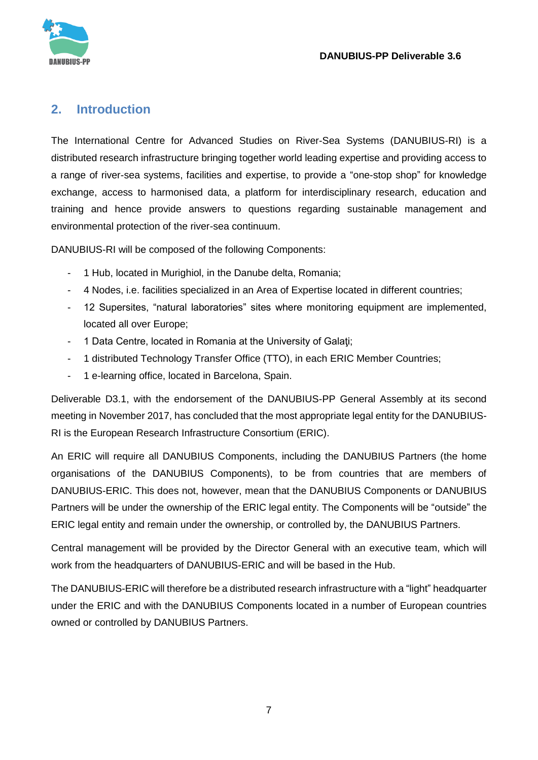

# <span id="page-6-0"></span>**2. Introduction**

The International Centre for Advanced Studies on River-Sea Systems (DANUBIUS-RI) is a distributed research infrastructure bringing together world leading expertise and providing access to a range of river-sea systems, facilities and expertise, to provide a "one-stop shop" for knowledge exchange, access to harmonised data, a platform for interdisciplinary research, education and training and hence provide answers to questions regarding sustainable management and environmental protection of the river-sea continuum.

DANUBIUS-RI will be composed of the following Components:

- 1 Hub, located in Murighiol, in the Danube delta, Romania;
- 4 Nodes, i.e. facilities specialized in an Area of Expertise located in different countries;
- 12 Supersites, "natural laboratories" sites where monitoring equipment are implemented, located all over Europe;
- 1 Data Centre, located in Romania at the University of Galati:
- 1 distributed Technology Transfer Office (TTO), in each ERIC Member Countries;
- 1 e-learning office, located in Barcelona, Spain.

Deliverable D3.1, with the endorsement of the DANUBIUS-PP General Assembly at its second meeting in November 2017, has concluded that the most appropriate legal entity for the DANUBIUS-RI is the European Research Infrastructure Consortium (ERIC).

An ERIC will require all DANUBIUS Components, including the DANUBIUS Partners (the home organisations of the DANUBIUS Components), to be from countries that are members of DANUBIUS-ERIC. This does not, however, mean that the DANUBIUS Components or DANUBIUS Partners will be under the ownership of the ERIC legal entity. The Components will be "outside" the ERIC legal entity and remain under the ownership, or controlled by, the DANUBIUS Partners.

Central management will be provided by the Director General with an executive team, which will work from the headquarters of DANUBIUS-ERIC and will be based in the Hub.

The DANUBIUS-ERIC will therefore be a distributed research infrastructure with a "light" headquarter under the ERIC and with the DANUBIUS Components located in a number of European countries owned or controlled by DANUBIUS Partners.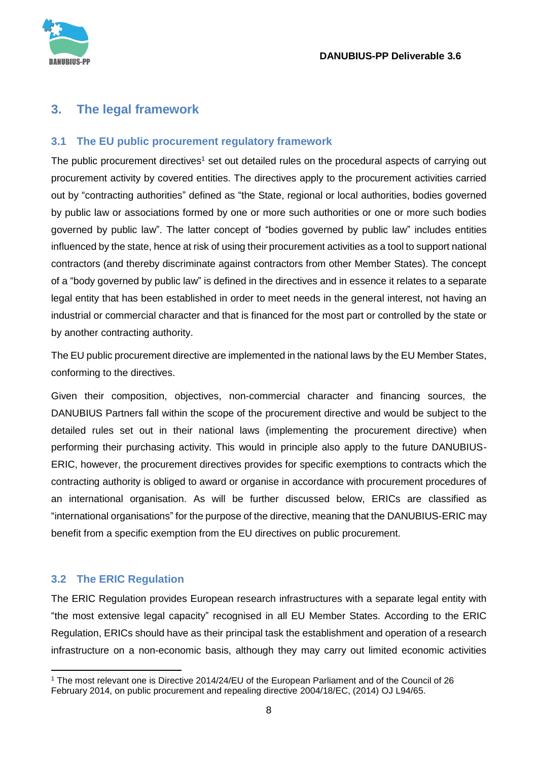

# <span id="page-7-0"></span>**3. The legal framework**

#### <span id="page-7-1"></span>**3.1 The EU public procurement regulatory framework**

The public procurement directives<sup>1</sup> set out detailed rules on the procedural aspects of carrying out procurement activity by covered entities. The directives apply to the procurement activities carried out by "contracting authorities" defined as "the State, regional or local authorities, bodies governed by public law or associations formed by one or more such authorities or one or more such bodies governed by public law". The latter concept of "bodies governed by public law" includes entities influenced by the state, hence at risk of using their procurement activities as a tool to support national contractors (and thereby discriminate against contractors from other Member States). The concept of a "body governed by public law" is defined in the directives and in essence it relates to a separate legal entity that has been established in order to meet needs in the general interest, not having an industrial or commercial character and that is financed for the most part or controlled by the state or by another contracting authority.

The EU public procurement directive are implemented in the national laws by the EU Member States, conforming to the directives.

Given their composition, objectives, non-commercial character and financing sources, the DANUBIUS Partners fall within the scope of the procurement directive and would be subject to the detailed rules set out in their national laws (implementing the procurement directive) when performing their purchasing activity. This would in principle also apply to the future DANUBIUS-ERIC, however, the procurement directives provides for specific exemptions to contracts which the contracting authority is obliged to award or organise in accordance with procurement procedures of an international organisation. As will be further discussed below, ERICs are classified as "international organisations" for the purpose of the directive, meaning that the DANUBIUS-ERIC may benefit from a specific exemption from the EU directives on public procurement.

#### <span id="page-7-2"></span>**3.2 The ERIC Regulation**

The ERIC Regulation provides European research infrastructures with a separate legal entity with "the most extensive legal capacity" recognised in all EU Member States. According to the ERIC Regulation, ERICs should have as their principal task the establishment and operation of a research infrastructure on a non-economic basis, although they may carry out limited economic activities

**<sup>.</sup>** <sup>1</sup> The most relevant one is Directive 2014/24/EU of the European Parliament and of the Council of 26 February 2014, on public procurement and repealing directive 2004/18/EC, (2014) OJ L94/65.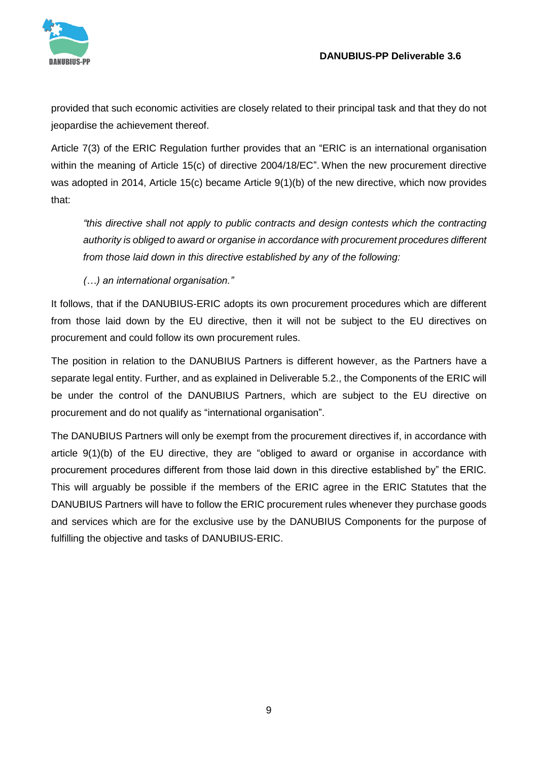

provided that such economic activities are closely related to their principal task and that they do not jeopardise the achievement thereof.

Article 7(3) of the ERIC Regulation further provides that an "ERIC is an international organisation within the meaning of Article 15(c) of directive 2004/18/EC". When the new procurement directive was adopted in 2014, Article 15(c) became Article 9(1)(b) of the new directive, which now provides that:

*"this directive shall not apply to public contracts and design contests which the contracting authority is obliged to award or organise in accordance with procurement procedures different from those laid down in this directive established by any of the following:*

*(…) an international organisation."*

It follows, that if the DANUBIUS-ERIC adopts its own procurement procedures which are different from those laid down by the EU directive, then it will not be subject to the EU directives on procurement and could follow its own procurement rules.

The position in relation to the DANUBIUS Partners is different however, as the Partners have a separate legal entity. Further, and as explained in Deliverable 5.2., the Components of the ERIC will be under the control of the DANUBIUS Partners, which are subject to the EU directive on procurement and do not qualify as "international organisation".

The DANUBIUS Partners will only be exempt from the procurement directives if, in accordance with article 9(1)(b) of the EU directive, they are "obliged to award or organise in accordance with procurement procedures different from those laid down in this directive established by" the ERIC. This will arguably be possible if the members of the ERIC agree in the ERIC Statutes that the DANUBIUS Partners will have to follow the ERIC procurement rules whenever they purchase goods and services which are for the exclusive use by the DANUBIUS Components for the purpose of fulfilling the objective and tasks of DANUBIUS-ERIC.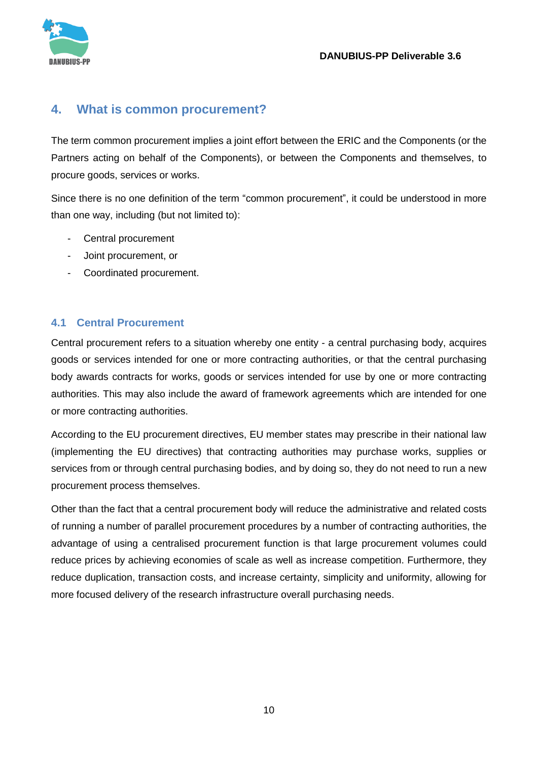

# <span id="page-9-0"></span>**4. What is common procurement?**

The term common procurement implies a joint effort between the ERIC and the Components (or the Partners acting on behalf of the Components), or between the Components and themselves, to procure goods, services or works.

Since there is no one definition of the term "common procurement", it could be understood in more than one way, including (but not limited to):

- Central procurement
- Joint procurement, or
- Coordinated procurement.

#### <span id="page-9-1"></span>**4.1 Central Procurement**

Central procurement refers to a situation whereby one entity - a central purchasing body, acquires goods or services intended for one or more contracting authorities, or that the central purchasing body awards contracts for works, goods or services intended for use by one or more contracting authorities. This may also include the award of framework agreements which are intended for one or more contracting authorities.

According to the EU procurement directives, EU member states may prescribe in their national law (implementing the EU directives) that contracting authorities may purchase works, supplies or services from or through central purchasing bodies, and by doing so, they do not need to run a new procurement process themselves.

Other than the fact that a central procurement body will reduce the administrative and related costs of running a number of parallel procurement procedures by a number of contracting authorities, the advantage of using a centralised procurement function is that large procurement volumes could reduce prices by achieving economies of scale as well as increase competition. Furthermore, they reduce duplication, transaction costs, and increase certainty, simplicity and uniformity, allowing for more focused delivery of the research infrastructure overall purchasing needs.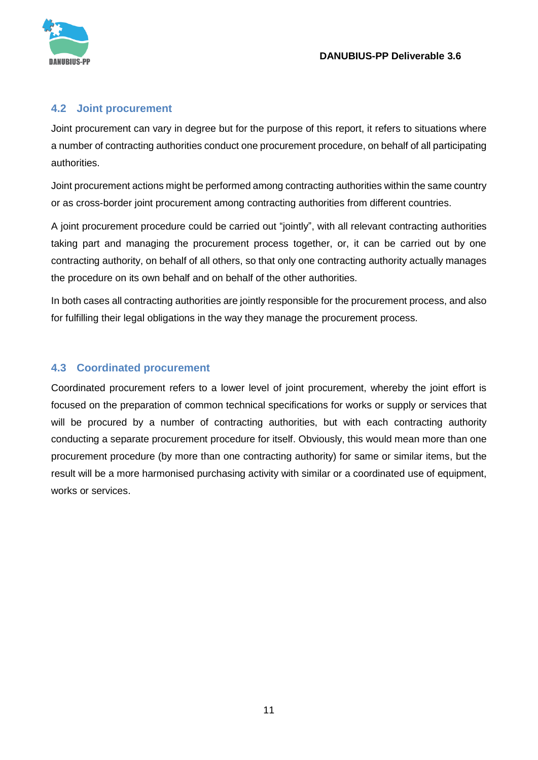

#### <span id="page-10-0"></span>**4.2 Joint procurement**

Joint procurement can vary in degree but for the purpose of this report, it refers to situations where a number of contracting authorities conduct one procurement procedure, on behalf of all participating authorities.

Joint procurement actions might be performed among contracting authorities within the same country or as cross-border joint procurement among contracting authorities from different countries.

A joint procurement procedure could be carried out "jointly", with all relevant contracting authorities taking part and managing the procurement process together, or, it can be carried out by one contracting authority, on behalf of all others, so that only one contracting authority actually manages the procedure on its own behalf and on behalf of the other authorities.

In both cases all contracting authorities are jointly responsible for the procurement process, and also for fulfilling their legal obligations in the way they manage the procurement process.

#### <span id="page-10-1"></span>**4.3 Coordinated procurement**

Coordinated procurement refers to a lower level of joint procurement, whereby the joint effort is focused on the preparation of common technical specifications for works or supply or services that will be procured by a number of contracting authorities, but with each contracting authority conducting a separate procurement procedure for itself. Obviously, this would mean more than one procurement procedure (by more than one contracting authority) for same or similar items, but the result will be a more harmonised purchasing activity with similar or a coordinated use of equipment, works or services.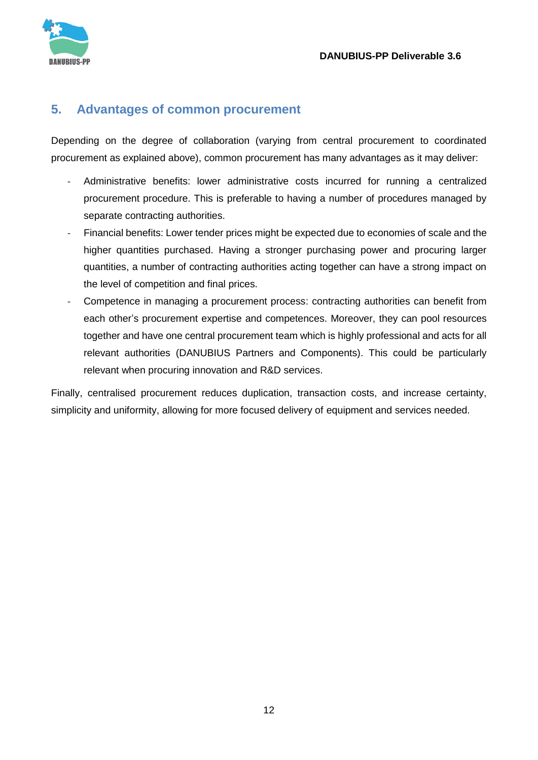

#### <span id="page-11-0"></span>**5. Advantages of common procurement**

Depending on the degree of collaboration (varying from central procurement to coordinated procurement as explained above), common procurement has many advantages as it may deliver:

- Administrative benefits: lower administrative costs incurred for running a centralized procurement procedure. This is preferable to having a number of procedures managed by separate contracting authorities.
- Financial benefits: Lower tender prices might be expected due to economies of scale and the higher quantities purchased. Having a stronger purchasing power and procuring larger quantities, a number of contracting authorities acting together can have a strong impact on the level of competition and final prices.
- Competence in managing a procurement process: contracting authorities can benefit from each other's procurement expertise and competences. Moreover, they can pool resources together and have one central procurement team which is highly professional and acts for all relevant authorities (DANUBIUS Partners and Components). This could be particularly relevant when procuring innovation and R&D services.

Finally, centralised procurement reduces duplication, transaction costs, and increase certainty, simplicity and uniformity, allowing for more focused delivery of equipment and services needed.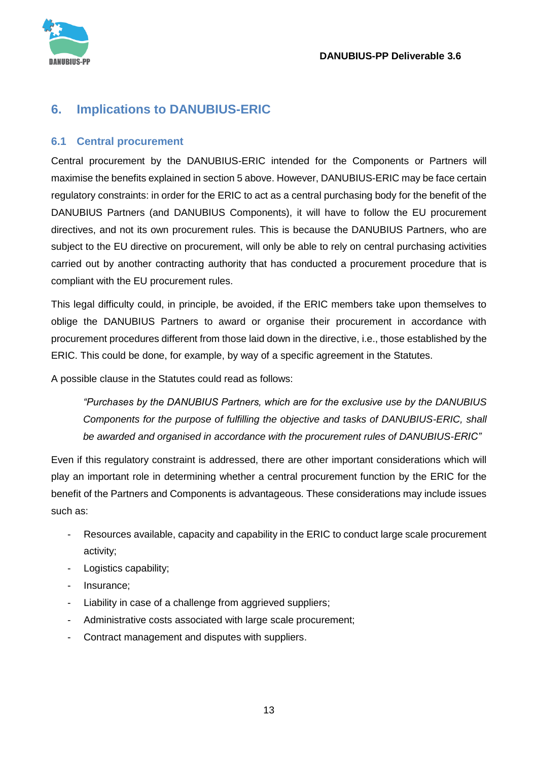

# <span id="page-12-0"></span>**6. Implications to DANUBIUS-ERIC**

#### <span id="page-12-1"></span>**6.1 Central procurement**

Central procurement by the DANUBIUS-ERIC intended for the Components or Partners will maximise the benefits explained in section 5 above. However, DANUBIUS-ERIC may be face certain regulatory constraints: in order for the ERIC to act as a central purchasing body for the benefit of the DANUBIUS Partners (and DANUBIUS Components), it will have to follow the EU procurement directives, and not its own procurement rules. This is because the DANUBIUS Partners, who are subject to the EU directive on procurement, will only be able to rely on central purchasing activities carried out by another contracting authority that has conducted a procurement procedure that is compliant with the EU procurement rules.

This legal difficulty could, in principle, be avoided, if the ERIC members take upon themselves to oblige the DANUBIUS Partners to award or organise their procurement in accordance with procurement procedures different from those laid down in the directive, i.e., those established by the ERIC. This could be done, for example, by way of a specific agreement in the Statutes.

A possible clause in the Statutes could read as follows:

*"Purchases by the DANUBIUS Partners, which are for the exclusive use by the DANUBIUS Components for the purpose of fulfilling the objective and tasks of DANUBIUS-ERIC, shall be awarded and organised in accordance with the procurement rules of DANUBIUS-ERIC"*

Even if this regulatory constraint is addressed, there are other important considerations which will play an important role in determining whether a central procurement function by the ERIC for the benefit of the Partners and Components is advantageous. These considerations may include issues such as:

- Resources available, capacity and capability in the ERIC to conduct large scale procurement activity;
- Logistics capability;
- Insurance;
- Liability in case of a challenge from aggrieved suppliers;
- Administrative costs associated with large scale procurement;
- Contract management and disputes with suppliers.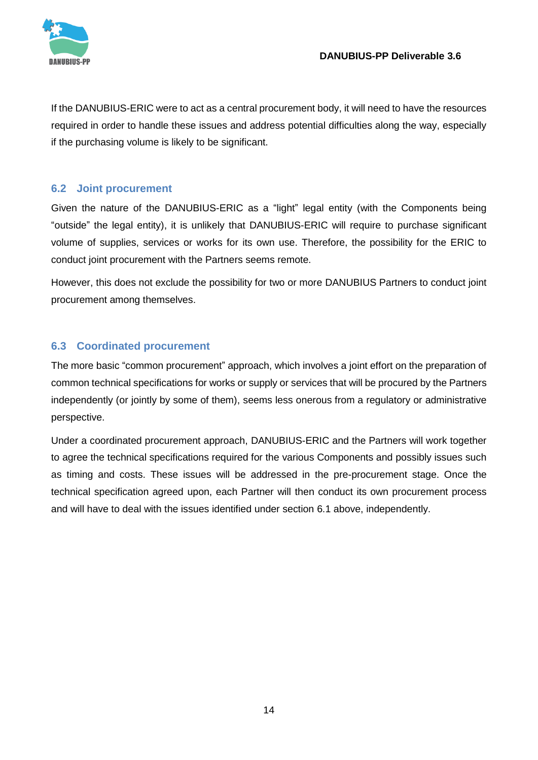

If the DANUBIUS-ERIC were to act as a central procurement body, it will need to have the resources required in order to handle these issues and address potential difficulties along the way, especially if the purchasing volume is likely to be significant.

#### <span id="page-13-0"></span>**6.2 Joint procurement**

Given the nature of the DANUBIUS-ERIC as a "light" legal entity (with the Components being "outside" the legal entity), it is unlikely that DANUBIUS-ERIC will require to purchase significant volume of supplies, services or works for its own use. Therefore, the possibility for the ERIC to conduct joint procurement with the Partners seems remote.

However, this does not exclude the possibility for two or more DANUBIUS Partners to conduct joint procurement among themselves.

#### <span id="page-13-1"></span>**6.3 Coordinated procurement**

The more basic "common procurement" approach, which involves a joint effort on the preparation of common technical specifications for works or supply or services that will be procured by the Partners independently (or jointly by some of them), seems less onerous from a regulatory or administrative perspective.

Under a coordinated procurement approach, DANUBIUS-ERIC and the Partners will work together to agree the technical specifications required for the various Components and possibly issues such as timing and costs. These issues will be addressed in the pre-procurement stage. Once the technical specification agreed upon, each Partner will then conduct its own procurement process and will have to deal with the issues identified under section 6.1 above, independently.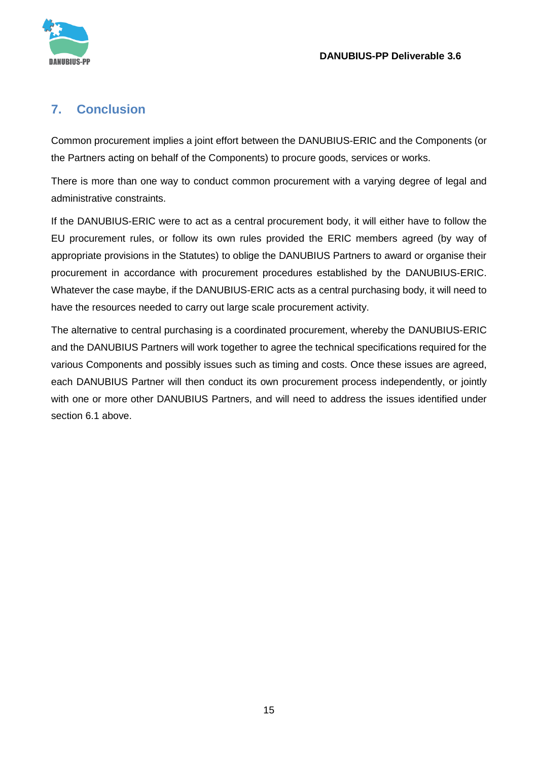

# <span id="page-14-0"></span>**7. Conclusion**

Common procurement implies a joint effort between the DANUBIUS-ERIC and the Components (or the Partners acting on behalf of the Components) to procure goods, services or works.

There is more than one way to conduct common procurement with a varying degree of legal and administrative constraints.

If the DANUBIUS-ERIC were to act as a central procurement body, it will either have to follow the EU procurement rules, or follow its own rules provided the ERIC members agreed (by way of appropriate provisions in the Statutes) to oblige the DANUBIUS Partners to award or organise their procurement in accordance with procurement procedures established by the DANUBIUS-ERIC. Whatever the case maybe, if the DANUBIUS-ERIC acts as a central purchasing body, it will need to have the resources needed to carry out large scale procurement activity.

The alternative to central purchasing is a coordinated procurement, whereby the DANUBIUS-ERIC and the DANUBIUS Partners will work together to agree the technical specifications required for the various Components and possibly issues such as timing and costs. Once these issues are agreed, each DANUBIUS Partner will then conduct its own procurement process independently, or jointly with one or more other DANUBIUS Partners, and will need to address the issues identified under section 6.1 above.